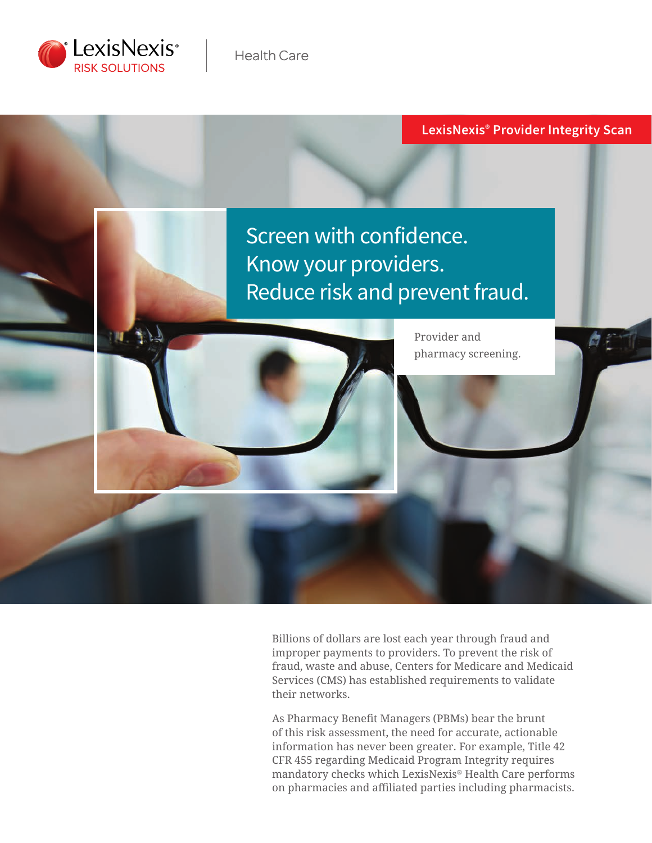

#### **LexisNexis® Provider Integrity Scan**



Billions of dollars are lost each year through fraud and improper payments to providers. To prevent the risk of fraud, waste and abuse, Centers for Medicare and Medicaid Services (CMS) has established requirements to validate their networks.

As Pharmacy Benefit Managers (PBMs) bear the brunt of this risk assessment, the need for accurate, actionable information has never been greater. For example, Title 42 CFR 455 regarding Medicaid Program Integrity requires mandatory checks which LexisNexis® Health Care performs on pharmacies and affiliated parties including pharmacists.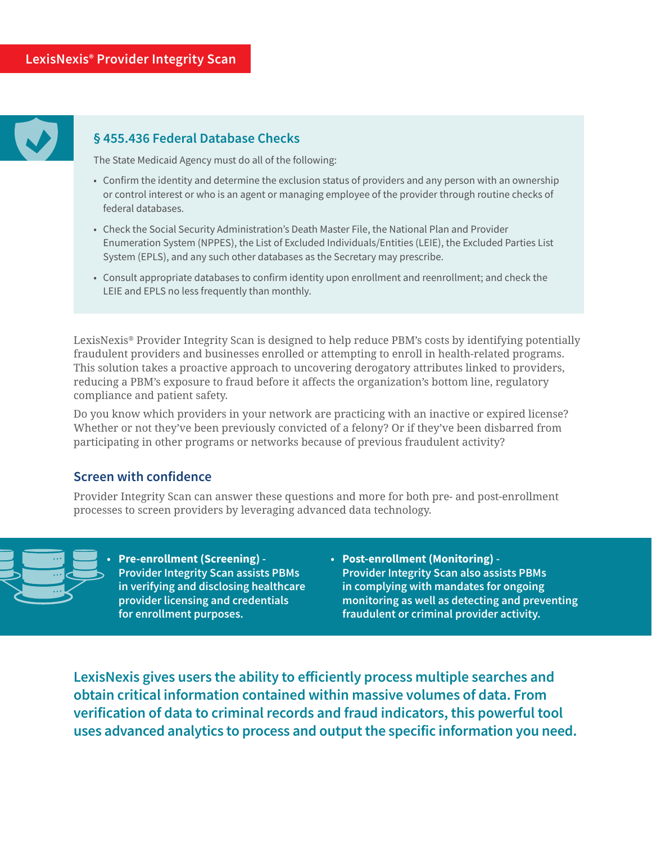

#### **§ 455.436 Federal Database Checks**

The State Medicaid Agency must do all of the following:

- Confirm the identity and determine the exclusion status of providers and any person with an ownership or control interest or who is an agent or managing employee of the provider through routine checks of federal databases.
- Check the Social Security Administration's Death Master File, the National Plan and Provider Enumeration System (NPPES), the List of Excluded Individuals/Entities (LEIE), the Excluded Parties List System (EPLS), and any such other databases as the Secretary may prescribe.
- Consult appropriate databases to confirm identity upon enrollment and reenrollment; and check the LEIE and EPLS no less frequently than monthly.

LexisNexis® Provider Integrity Scan is designed to help reduce PBM's costs by identifying potentially fraudulent providers and businesses enrolled or attempting to enroll in health-related programs. This solution takes a proactive approach to uncovering derogatory attributes linked to providers, reducing a PBM's exposure to fraud before it affects the organization's bottom line, regulatory compliance and patient safety.

Do you know which providers in your network are practicing with an inactive or expired license? Whether or not they've been previously convicted of a felony? Or if they've been disbarred from participating in other programs or networks because of previous fraudulent activity?

#### **Screen with confidence**

Provider Integrity Scan can answer these questions and more for both pre- and post-enrollment processes to screen providers by leveraging advanced data technology.



**• Pre-enrollment (Screening) - Provider Integrity Scan assists PBMs in verifying and disclosing healthcare provider licensing and credentials for enrollment purposes.** 

**• Post-enrollment (Monitoring) - Provider Integrity Scan also assists PBMs in complying with mandates for ongoing monitoring as well as detecting and preventing fraudulent or criminal provider activity.**

**LexisNexis gives users the ability to efficiently process multiple searches and obtain critical information contained within massive volumes of data. From verification of data to criminal records and fraud indicators, this powerful tool uses advanced analytics to process and output the specific information you need.**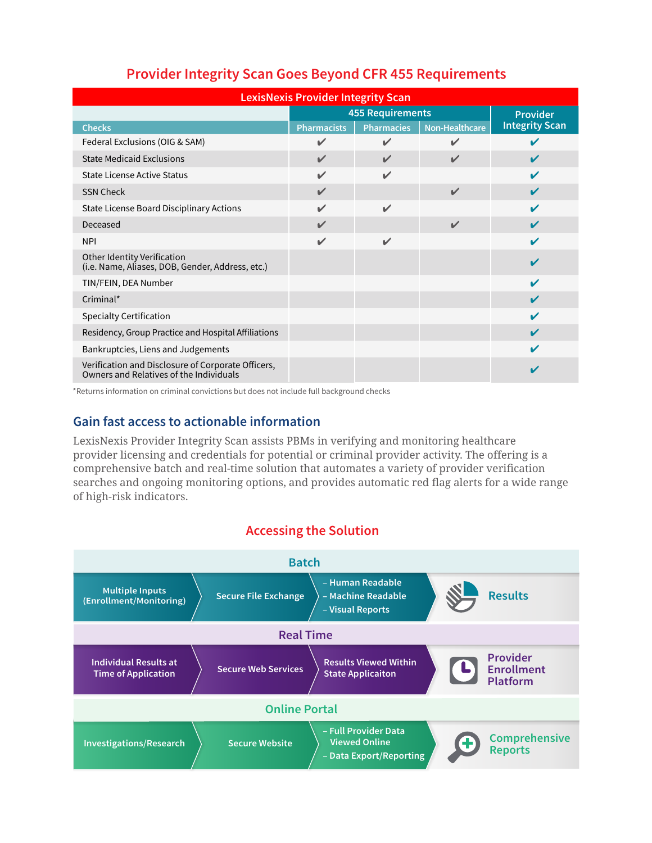| <b>LexisNexis Provider Integrity Scan</b>                                                     |                            |                            |                |                       |  |
|-----------------------------------------------------------------------------------------------|----------------------------|----------------------------|----------------|-----------------------|--|
|                                                                                               | <b>455 Requirements</b>    |                            |                | <b>Provider</b>       |  |
| <b>Checks</b>                                                                                 | <b>Pharmacists</b>         | <b>Pharmacies</b>          | Non-Healthcare | <b>Integrity Scan</b> |  |
| Federal Exclusions (OIG & SAM)                                                                | $\checkmark$               | $\checkmark$               | $\checkmark$   |                       |  |
| <b>State Medicaid Exclusions</b>                                                              | $\mathbf{v}$               | $\boldsymbol{\mathscr{C}}$ | $\checkmark$   | V                     |  |
| State License Active Status                                                                   | $\mathbf{v}$               | $\mathbf{v}$               |                | ✔                     |  |
| <b>SSN Check</b>                                                                              | $\mathbf{v}$               |                            | $\mathbf{v}$   | ✔                     |  |
| State License Board Disciplinary Actions                                                      | $\boldsymbol{\mathscr{L}}$ | $\mathbf{v}$               |                | ✔                     |  |
| Deceased                                                                                      | $\mathbf{v}$               |                            | $\mathbf{v}$   | ✔                     |  |
| <b>NPI</b>                                                                                    | $\boldsymbol{\mathscr{L}}$ | $\mathbf{v}$               |                | ✔                     |  |
| <b>Other Identity Verification</b><br>(i.e. Name, Aliases, DOB, Gender, Address, etc.)        |                            |                            |                | ✔                     |  |
| TIN/FEIN, DEA Number                                                                          |                            |                            |                | ✔                     |  |
| Criminal*                                                                                     |                            |                            |                | V                     |  |
| <b>Specialty Certification</b>                                                                |                            |                            |                | ✔                     |  |
| Residency, Group Practice and Hospital Affiliations                                           |                            |                            |                | ✔                     |  |
| Bankruptcies, Liens and Judgements                                                            |                            |                            |                | ✔                     |  |
| Verification and Disclosure of Corporate Officers,<br>Owners and Relatives of the Individuals |                            |                            |                |                       |  |

# **Provider Integrity Scan Goes Beyond CFR 455 Requirements**

\*Returns information on criminal convictions but does not include full background checks

#### **Gain fast access to actionable information**

LexisNexis Provider Integrity Scan assists PBMs in verifying and monitoring healthcare provider licensing and credentials for potential or criminal provider activity. The offering is a comprehensive batch and real-time solution that automates a variety of provider verification searches and ongoing monitoring options, and provides automatic red flag alerts for a wide range of high-risk indicators.

## **Accessing the Solution**